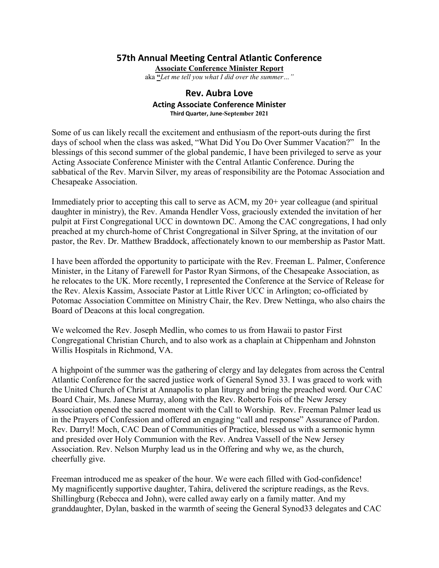## **57th Annual Meeting Central Atlantic Conference**

**Associate Conference Minister Report** 

aka **"***Let me tell you what I did over the summer…"*

## **Rev. Aubra Love Acting Associate Conference Minister Third Quarter, June-September 2021**

Some of us can likely recall the excitement and enthusiasm of the report-outs during the first days of school when the class was asked, "What Did You Do Over Summer Vacation?" In the blessings of this second summer of the global pandemic, I have been privileged to serve as your Acting Associate Conference Minister with the Central Atlantic Conference. During the sabbatical of the Rev. Marvin Silver, my areas of responsibility are the Potomac Association and Chesapeake Association.

Immediately prior to accepting this call to serve as ACM, my 20+ year colleague (and spiritual daughter in ministry), the Rev. Amanda Hendler Voss, graciously extended the invitation of her pulpit at First Congregational UCC in downtown DC. Among the CAC congregations, I had only preached at my church-home of Christ Congregational in Silver Spring, at the invitation of our pastor, the Rev. Dr. Matthew Braddock, affectionately known to our membership as Pastor Matt.

I have been afforded the opportunity to participate with the Rev. Freeman L. Palmer, Conference Minister, in the Litany of Farewell for Pastor Ryan Sirmons, of the Chesapeake Association, as he relocates to the UK. More recently, I represented the Conference at the Service of Release for the Rev. Alexis Kassim, Associate Pastor at Little River UCC in Arlington; co-officiated by Potomac Association Committee on Ministry Chair, the Rev. Drew Nettinga, who also chairs the Board of Deacons at this local congregation.

We welcomed the Rev. Joseph Medlin, who comes to us from Hawaii to pastor First Congregational Christian Church, and to also work as a chaplain at Chippenham and Johnston Willis Hospitals in Richmond, VA.

A highpoint of the summer was the gathering of clergy and lay delegates from across the Central Atlantic Conference for the sacred justice work of General Synod 33. I was graced to work with the United Church of Christ at Annapolis to plan liturgy and bring the preached word. Our CAC Board Chair, Ms. Janese Murray, along with the Rev. Roberto Fois of the New Jersey Association opened the sacred moment with the Call to Worship. Rev. Freeman Palmer lead us in the Prayers of Confession and offered an engaging "call and response" Assurance of Pardon. Rev. Darryl! Moch, CAC Dean of Communities of Practice, blessed us with a sermonic hymn and presided over Holy Communion with the Rev. Andrea Vassell of the New Jersey Association. Rev. Nelson Murphy lead us in the Offering and why we, as the church, cheerfully give.

Freeman introduced me as speaker of the hour. We were each filled with God-confidence! My magnificently supportive daughter, Tahira, delivered the scripture readings, as the Revs. Shillingburg (Rebecca and John), were called away early on a family matter. And my granddaughter, Dylan, basked in the warmth of seeing the General Synod33 delegates and CAC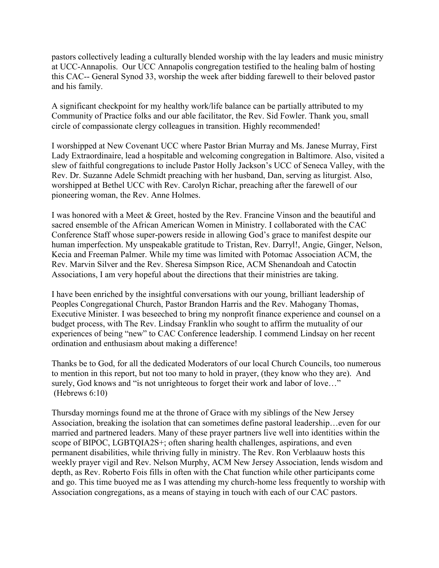pastors collectively leading a culturally blended worship with the lay leaders and music ministry at UCC-Annapolis. Our UCC Annapolis congregation testified to the healing balm of hosting this CAC-- General Synod 33, worship the week after bidding farewell to their beloved pastor and his family.

A significant checkpoint for my healthy work/life balance can be partially attributed to my Community of Practice folks and our able facilitator, the Rev. Sid Fowler. Thank you, small circle of compassionate clergy colleagues in transition. Highly recommended!

I worshipped at New Covenant UCC where Pastor Brian Murray and Ms. Janese Murray, First Lady Extraordinaire, lead a hospitable and welcoming congregation in Baltimore. Also, visited a slew of faithful congregations to include Pastor Holly Jackson's UCC of Seneca Valley, with the Rev. Dr. Suzanne Adele Schmidt preaching with her husband, Dan, serving as liturgist. Also, worshipped at Bethel UCC with Rev. Carolyn Richar, preaching after the farewell of our pioneering woman, the Rev. Anne Holmes.

I was honored with a Meet & Greet, hosted by the Rev. Francine Vinson and the beautiful and sacred ensemble of the African American Women in Ministry. I collaborated with the CAC Conference Staff whose super-powers reside in allowing God's grace to manifest despite our human imperfection. My unspeakable gratitude to Tristan, Rev. Darryl!, Angie, Ginger, Nelson, Kecia and Freeman Palmer. While my time was limited with Potomac Association ACM, the Rev. Marvin Silver and the Rev. Sheresa Simpson Rice, ACM Shenandoah and Catoctin Associations, I am very hopeful about the directions that their ministries are taking.

I have been enriched by the insightful conversations with our young, brilliant leadership of Peoples Congregational Church, Pastor Brandon Harris and the Rev. Mahogany Thomas, Executive Minister. I was beseeched to bring my nonprofit finance experience and counsel on a budget process, with The Rev. Lindsay Franklin who sought to affirm the mutuality of our experiences of being "new" to CAC Conference leadership. I commend Lindsay on her recent ordination and enthusiasm about making a difference!

Thanks be to God, for all the dedicated Moderators of our local Church Councils, too numerous to mention in this report, but not too many to hold in prayer, (they know who they are). And surely, God knows and "is not unrighteous to forget their work and labor of love…" (Hebrews 6:10)

Thursday mornings found me at the throne of Grace with my siblings of the New Jersey Association, breaking the isolation that can sometimes define pastoral leadership…even for our married and partnered leaders. Many of these prayer partners live well into identities within the scope of BIPOC, LGBTQIA2S+; often sharing health challenges, aspirations, and even permanent disabilities, while thriving fully in ministry. The Rev. Ron Verblaauw hosts this weekly prayer vigil and Rev. Nelson Murphy, ACM New Jersey Association, lends wisdom and depth, as Rev. Roberto Fois fills in often with the Chat function while other participants come and go. This time buoyed me as I was attending my church-home less frequently to worship with Association congregations, as a means of staying in touch with each of our CAC pastors.